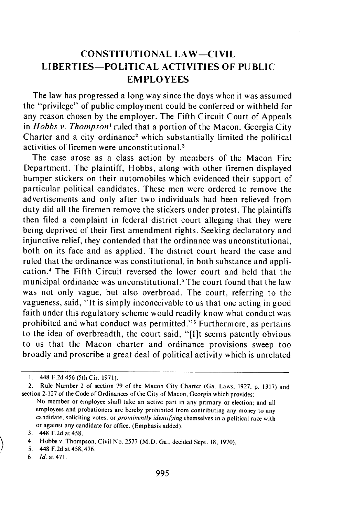## **CONSTITUTIONAL LAW-CIVIL** LIBERTIES-POLITICAL **ACTIVITIES OF PUBLIC EMPLOYEES**

The law has progressed a long way since the days when it was assumed the "privilege" of public employment could be conferred or withheld for any reason chosen **by** the employer. The Fifth Circuit Court of Appeals in *Hobbs v. Thompson'* ruled that a portion of the Macon, Georgia City Charter and a city ordinance<sup>2</sup> which substantially limited the political activities of firemen were unconstitutional.3

The case arose as a class action by members of the Macon Fire Department. The plaintiff, Hobbs, along with other firemen displayed bumper stickers on their automobiles which evidenced their support of particular political candidates. These men were ordered to remove the advertisements and only after two individuals had been relieved from duty did all the firemen remove the stickers under protest. The plaintiffs then filed a complaint in federal district court alleging that they were being deprived of their first amendment rights. Seeking declaratory and injunctive relief, they contended that the ordinance was unconstitutional, both on its face and as applied. The district court heard the case and ruled that the ordinance was constitutional, in both substance and application.' The Fifth Circuit reversed the lower court and held that the municipal ordinance was unconstitutional.<sup>5</sup> The court found that the law was not only vague, but also overbroad. The court, referring to the vagueness, said, "It is simply inconceivable to us that one acting in good faith under this regulatory scheme would readily know what conduct was prohibited and what conduct was permitted."<sup>6</sup> Furthermore, as pertains to the idea of overbreadth, the court said, "[lit seems patently obvious to us that the Macon charter and ordinance provisions sweep too broadly and proscribe a great deal of political activity which is unrelated

- 5. 448 F.2d at 458, 476.
- 6. *Id.* at 471.

**<sup>1.</sup>** 448 F.2d 456 (5th Cir. 1971).

<sup>2.</sup> Rule Number 2 of section 79 of the Macon City Charter (Ga. Laws, 1927, p. 1317) and section 2-127 of the Code of Ordinances of the City of Macon, Georgia which provides:

No member or employee shall take an active part in any primary or election; and all employees and probationers are hereby prohibited from contributing any money to any candidate, soliciting votes, or *prominently identifying* themselves in a political race with or against any candidate for office. (Emphasis added).

<sup>3. 448</sup> F.2d at 458.

<sup>4.</sup> Hobbs v. Thompson, Civil No. 2577 (M.D. Ga., decided Sept. 18, 1970).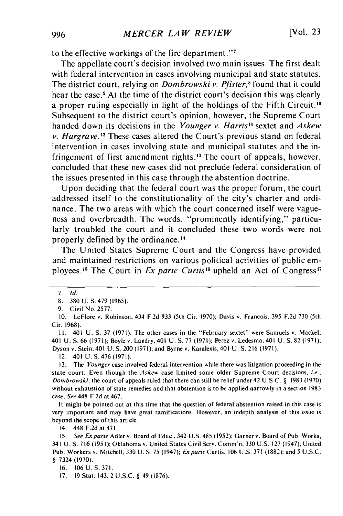to the effective workings of the fire department."<sup>7</sup>

The appellate court's decision involved two main issues. The first dealt with federal intervention in cases involving municipal and state statutes. The district court, relying on *Dombrowski v. Pfister*,<sup>8</sup> found that it could hear the case.<sup>9</sup> At the time of the district court's decision this was clearly a proper ruling especially in light of the holdings of the Fifth Circuit."° Subsequent to the district court's opinion, however, the Supreme Court handed down its decisions in the *Younger v. Harris"* sextet and *Askew v. Hargrave.* **12** These cases altered the Court's previous stand on federal intervention in cases involving state and municipal statutes and the infringement of first amendment rights." The court of appeals, however, concluded that these new cases did not preclude federal consideration of the issues presented in this case through the abstention doctrine.

Upon deciding that the federal court was the proper forum, the court addressed itself to the constitutionality of the city's charter and ordinance. The two areas with which the court concerned itself were vagueness and overbreadth. The words, "prominently identifying," particularly troubled the court and it concluded these two words were not properly defined by the ordinance."

The United States Supreme Court and the Congress have provided and maintained restrictions on various political activities of public employees.<sup>15</sup> The Court in *Ex parte Curtis*<sup>16</sup> upheld an Act of Congress<sup>17</sup>

**11.** 401 U. **S.** 37 (1971). The other cases in the "February sextet" were Samuels v. Mackel, 401 U. S. 66 (1971); Boyle v. Landry, 401 U. S. 77 (1971); Perez v. Ledesma, 401 U. **S.** 82 (1971); Dyson v. Stein, 401 U. S. 200 (1971); and Byrne v. Karalexis, 401 U. S. 216 (1971).

12. 401 U. S. 476 (1971).

It might be pointed out at this time that the question of federal abstention raised in this case is very important and may have great ramifications. However, an indepth analysis of this issue is beyond the scope of this article.

14. 448 F.2dat471.

15. See Exparte Adler v. Board of Educ., 342 U.S. 485 (1952); Garner v. Board of Pub. Works, 341 U. S. 716 (195 **1);** Oklahoma v. United States Civil Serv. Comm'n, 330 U.S. 127 (1947); United Pub. Workers v. Mitchell, 330 U. S. 75 (1947); *Exparte* Curtis, 106 U.S. 371 (1882); and 5 U.S.C. § 7324 (1970).

16. 106 U. S. 371.

17. 19 Stat. 143, 2 U.S.C. § 49 (1876).

<sup>7.</sup> **Id.**

<sup>8. 380</sup> U. S. 479 (1965).

<sup>9.</sup> Civil No. 2577.

<sup>10.</sup> LeFlore v. Robinson, 434 F.2d 933 (5th Cir. 1970); Davis v. Francois, 395 F.2d 730 (5th Cir. 1968).

<sup>13.</sup> The Younger case involved federal intervention while there was litigation proceeding in the state court. Even though the Askew case limited some older Supreme Court decisions, i.e., *Dombrowski.* the court of appeals ruled that there can still be relief under 42 U.S.C. § 1983 (1970) without exhaustion of state remedies and that abstention is to be applied narrowly in a section 1983 case. See 448 F.2d at 467.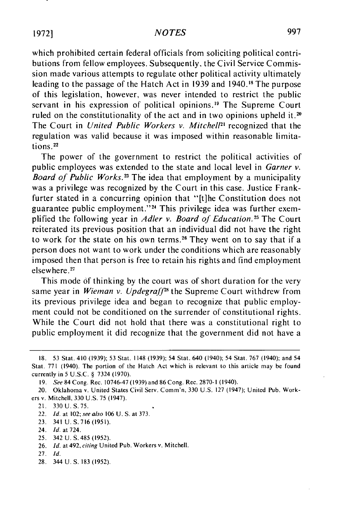## *NOTES*

which prohibited certain federal officials from soliciting political contributions from fellow employees. Subsequently. the Civil Service Commission made various attempts to regulate other political activity ultimately leading to the passage of the Hatch Act in 1939 and 1940.<sup>18</sup> The purpose of this legislation, however, was never intended to restrict the public servant in his expression of political opinions.<sup>19</sup> The Supreme Court ruled on the constitutionality of the act and in two opinions upheld **it.20** The Court in *United Public Workers v. Mitchell"* recognized that the regulation was valid because it was imposed within reasonable limitations **.2**

The power of the government to restrict the political activities of public employees was extended to the state and local level in *Garner v. Board of Public Works.<sup>23</sup> The idea that employment by a municipality* was a privilege was recognized by the Court in this case. Justice Frankfurter stated in a concurring opinion that "[t]he Constitution does not guarantee public employment."<sup>24</sup> This privilege idea was further exemplified the following year in *Adler v. Board of Education.25* The Court reiterated its previous position that an individual did not have the right to work for the state on his own terms.<sup>26</sup> They went on to say that if a person does not want to work under the conditions which are reasonably imposed then that person is free to retain his rights and find employment elsewhere.<sup>27</sup>

This mode of thinking by the court was of short duration for the very same year in *Wieman v. Updegraff*<sup>28</sup> the Supreme Court withdrew from its previous privilege idea and began to recognize that public employment could not be conditioned on the surrender of constitutional rights. While the Court did not hold that there was a constitutional right to public employment it did recognize that the government did not have a

- 21. 330 U. S.75.
- 22. *Id.* at 102; *see also* 106 U. S. at 373.
- 23. 341 U.S.716 (1951).
- 24. *Id.* at 724.
- 25. 342 U. S.485 (1952).
- 26. *Id.* at 492, *citing* United Pub. Workers v. Mitchell.
- 27. *Id.*
- 28. 344 U. **S.** 183 (1952).

<sup>18. 53</sup> Stat. 410 (1939); 53 Stat. 1148 (1939); 54 Stat. 640 (1940); 54 Stat. **767** (1940); and 54 Stat. 771 (1940). The portion of the Hatch Act which is relevant to this article may be found currently in 5 U.S.C. § 7324 (1970).

*<sup>19.</sup> See* 84 Cong. Rec. 10746-47 (1939) and 86 Cong. Rec. 2870-1 (1940).

<sup>20.</sup> Oklahoma v. United States Civil Serv. Comm'n, 330 U.S. 127 (1947); United Pub. Workers v. Mitchell, 330 U.S. 75 (1947).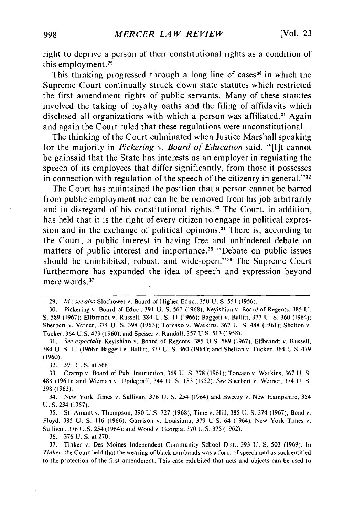right to deprive a person of their constitutional rights as a condition of this employment.29

This thinking progressed through a long line of cases<sup>30</sup> in which the Supreme Court continually struck down state statutes which restricted the first amendment rights of public servants. Many of these statutes involved the taking of loyalty oaths and the filing of affidavits which disclosed all organizations with which a person was affiliated.<sup>31</sup> Agair and again the Court ruled that these regulations were unconstitutional.

The thinking of the Court culminated when Justice Marshall speaking for the majority in *Pickering v. Board of Education* said, "[lit cannot be gainsaid that the State has interests as an employer in regulating the speech of its employees that differ significantly, from those it possesses in connection with regulation of the speech of the citizenry in general."<sup>32</sup>

The Court has maintained the position that a person cannot be barred from public employment nor can he be removed from his job arbitrarily and in disregard of his constitutional rights.<sup>33</sup> The Court, in addition, has held that it is the right of every citizen to engage in political expression and in the exchange of political opinions **. <sup>3</sup>**There is, according to the Court, a public interest in having free and unhindered debate on matters of public interest and importance.<sup>35</sup> "Debate on public issues should be uninhibited, robust, and wide-open."<sup>36</sup> The Supreme Court furthermore has expanded the idea of speech and expression beyond mere words.<sup>37</sup>

31. *See especially* Keyishian v. Board of Regents, 385 U.S. 589 (1967); Elfbrandt v. Russell, 384 U. **S.** 11 (1966); Baggett v. Bullitt, 377 U. S. 360 (1964); and Shelton v. Tucker, 364 U.S. 479 (1960).

32. 391 U. S. at 568.

33. Cramp v. Board of Pub. Instruction, 368 U. **S.** 278 (1961); Torcaso v. Watkins, 367 U. S. 488 (1961); and Wieman v. Updegraff, 344 U. **S.** 183 (1952). *See* Sherbert v. Werner, 374 U. S. 398 (1963).

34. New York Times v. Sullivan, 376 U. **S.** 254 (1964) and Sweezy v. New Hampshire, 354 U. S. 234 (1957).

35. St. Amant v. Thompson, 390 U.S. 727 (1968); Time v. Hill, 385 U. **S.** 374 (1967); Bond v. Floyd, 385 U. **S.** 116 (1966); Garrison v. Louisiana, 379 U.S. 64 (1964); New York Times v. Sullivan, 376 U.S. 254 (1964); and Wood v. Georgia, 370 U.S. 375 (1962).

36. 376 U. S. at 270.

37. Tinker v. Des Moines Independent Community School Dist., 393 U. **S.** 503 (1969). In *Tinker,* the Court held that the wearing of black armbands was a form of speech and as such entitled to the protection of the first amendment. This case exhibited that acts and objects can be used to

<sup>29.</sup> *Id.; see also* Slochower v. Board of Higher Educ., 350 **U.S. S551** (1956).

<sup>30.</sup> Pickering v. Board of Educ., 391 U. S. 563 (1968); Keyishian v. Board of Regents, 385 U. **S.** 589 (1967); Elfbrandt v. Russell, 384 U. S. **It** (1966); Baggett v. Bullitt, 377 U. **S.** 360 (1964); Sherbert v. Verner, 374 U. **S.** 398 (1963); Torcaso v. Watkins, 367 U. **S.** 488 (1961); Shelton v. Tucker, 364 U.S. 479 (1960); and Speiser v. Randall, 357 U.S. 513 (1958).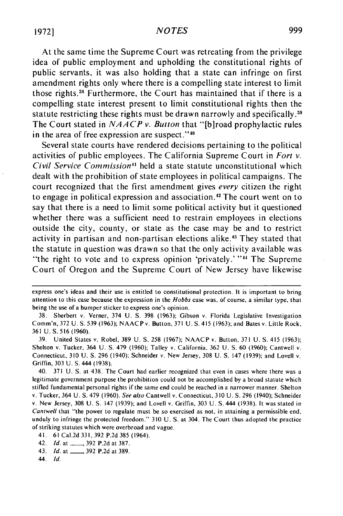## *NOTES*

At the same time the Supreme Court was retreating from the privilege idea of public employment and upholding the constitutional rights of public servants, it was also holding that a state can infringe on first amendment rights only where there is a compelling state interest to limit those rights.<sup>38</sup> Furthermore, the Court has maintained that if there is a compelling state interest present to limit constitutional rights then the statute restricting these rights must be drawn narrowly and specifically.<sup>39</sup> The Court stated in *NAACP* v. *Button* that "[b]road prophylactic rules in the area of free expression are suspect." $40$ 

Several state courts have rendered decisions pertaining to the political activities of public employees. The California Supreme Court in *Fort v.* Civil Service Commission<sup>41</sup> held a state statute unconstitutional which dealt with the prohibition of state employees in political campaigns. The court recognized that the first amendment gives every citizen the right to engage in political expression and association.<sup>42</sup> The court went on to say that there is a need to limit some political activity but it questioned whether there was a sufficient need to restrain employees in elections outside the city, county, or state as the case may be and to restrict activity in partisan and non-partisan elections alike." They stated that the statute in question was drawn so that the only activity available was "the right to vote and to express opinion 'privately.' "<sup>44</sup> The Supreme Court of Oregon and the Supreme Court of New Jersey have likewise

- 43. *Id.* at \_\_\_\_\_, 392 P.2d at 389.
- *44. Id.*

express one's ideas and their use is entitled to constitutional protection. It is important to bring attention to this case because the expression in the *Hobbs* case was, of course, a similar type, that being the use of a bumper sticker to express one's opinion.

<sup>38.</sup> Sherbert v. Verner, 374 U. S. 398 (1963); Gibson v. Florida Legislative Investigation Comm'n, 372 U. S. 539 (1963); NAACP v. Button, 371 U. **S.** 415 (1963); and Bates v. Little Rock, 361 U. S. 516 (1960).

<sup>39.</sup> United States v. Robel, 389 U. **S.** 258 (1967); NAACP v. Button, 371 U. S. 415 (1963); Shelton v. Tucker, 364 U. S. 479 (1960); Talley v. California, 362 U. **S.** 60 (1960); Cantwell v. Connecticut, 310 U. **S.** 296 (1940): Schneider v. New Jersey, 308 U. **S.** 147 (1939); and Lovell v. Griffin, 303 U. S. 444 (1938).

<sup>40. 371</sup> U. S. at 438. The Court had earlier recognized that even in cases where there was a legitimate government purpose the prohibition could not be accomplished by a broad statute which stifled fundamental personal rights if the same end could be reached in a narrower manner. Shelton v. Tucker, 364 U. S. 479 (1960). See also Cantwell v. Connecticut, 310 U. S. 296 (1940); Schneider v. New Jersey, 308 U. **S.** 147 (1939); and Lovell v. Griffin, 303 U. S. 444 (1938). It was stated in Cantwell that "'the power to regulate must be so exercised as not, in attaining a permissible end, unduly to infringe the protected freedom." 310 U. S. at 304. The Court thus adopted the practice of striking statutes which were overbroad and vague.

<sup>41. 61</sup> Cal.2d 331, 392 P.2d 385 (1964).

<sup>42.</sup> Id. at \_\_\_ 392 **P.2d** at 387.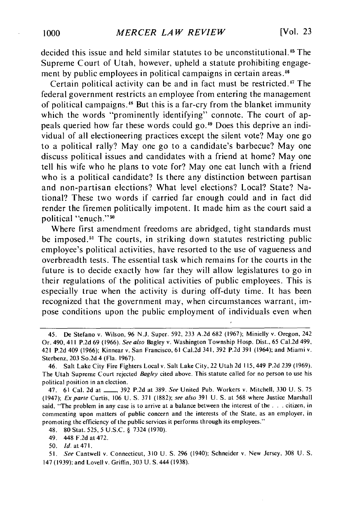decided this issue and held similar statutes to be unconstitutional.<sup>45</sup> The Supreme Court of Utah, however, upheld a statute prohibiting engagement by public employees in political campaigns in certain areas.<sup>4</sup>

Certain political activity can be and in fact must be restricted.<sup>47</sup> The federal government restricts an employee from entering the management of political campaigns." But this is a far-cry from the blanket immunity which the words "prominently identifying" connote. The court of appeals queried how far these words could **go.49** Does this deprive an individual of all electioneering practices except the silent vote? May one go to a political rally? May one go to a candidate's barbecue? May one discuss political issues and candidates with a friend at home? May one tell his wife who he plans to vote for? May one eat lunch with a friend who is a political candidate? Is there any distinction between partisan and non-partisan elections? What level elections? Local? State? National? These two words if carried far enough could and in fact did render the firemen politically impotent. It made him as the court said a political "enuch."<sup>50</sup>

Where first amendment freedoms are abridged, tight standards must be imposed.<sup>51</sup> The courts, in striking down statutes restricting public employee's political activities, have resorted to the use of vagueness and overbreadth tests. The essential task which remains for the courts in the future is to decide exactly how far they will allow legislatures to go in their regulations of the political activities of public employees. This is especially true when the activity is during off-duty time. It has been recognized that the government may, when circumstances warrant, impose conditions upon the public employment of individuals even when

48. 80 Stat. 525, 5 U.S.C. § 7324 (1970).

<sup>45.</sup> De Stefano v. Wilson, 96 N.J. Super. 592, 233 A.2d 682 (1967); Minielly v. Oregon, 242 Or. 490, 411 P.2d 69 (1966). See also Bagley v. Washington Township Hosp. Dist., 65 Cal.2d 499, 421 P.2d 409 (1966); Kinnear v. San Francisco, 61 Cal.2d 341, 392 P.2d 391 (1964); and Miami v. Sterbenz, 203 So.2d 4 (Fla. 1967).

<sup>46.</sup> Salt Lake City Fire Fighters Local v. Salt Lake City, 22 Utah 2d 115,449 P.2d 239 (1969). The Utah Supreme Court rejected Bagley cited above. This statute called for no person to use his political position in an election.

<sup>47. 61</sup> Cal. 2d at **-** 392 P.2d at 389. See United Pub. Workers v. Mitchell, 330 **U. S.** 75 (1947); Exparte Curtis, 106 U. **S.** 371 (1882); see also 391 U. S. at 568 where Justice Marshall said, "The problem in any case is to arrive at a balance between the interest of the **...** citizen, in commenting upon matters of public concern and the interests of the State, as an employer, in promoting the efficiency of the public services it performs through its employees."

<sup>49. 448</sup> F.2d at 472.

**<sup>50.</sup> Id.** at 471.

*<sup>51.</sup>* See Cantwell v. Connecticut, 310 U. **S.** 296 (1940); Schneider v. New Jersey, 308 U. S. 147 (1939); and Lovell v. Griffin, 303 U. S. 444 (1938).